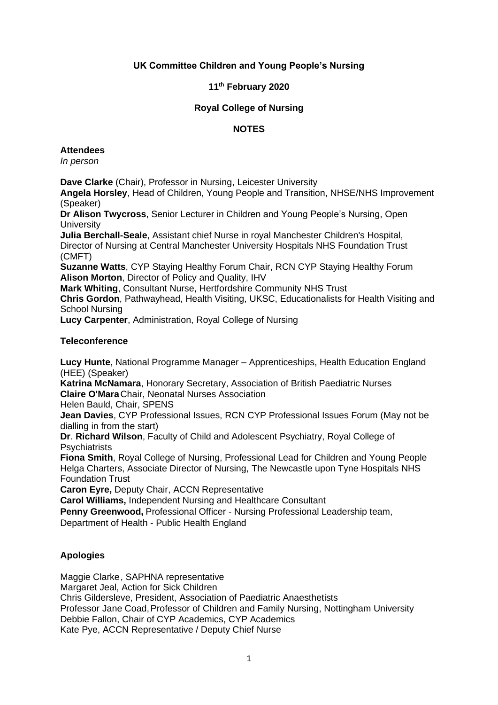# **UK Committee Children and Young People's Nursing**

# **11th February 2020**

## **Royal College of Nursing**

## **NOTES**

#### **Attendees**

*In person*

**Dave Clarke** (Chair), Professor in Nursing, Leicester University

**Angela Horsley**, Head of Children, Young People and Transition, NHSE/NHS Improvement (Speaker)

**Dr Alison Twycross**, Senior Lecturer in Children and Young People's Nursing, Open **University** 

**Julia Berchall-Seale**, Assistant chief Nurse in royal Manchester Children's Hospital, Director of Nursing at Central Manchester University Hospitals NHS Foundation Trust (CMFT)

**Suzanne Watts**, CYP Staying Healthy Forum Chair, RCN CYP Staying Healthy Forum **Alison Morton**, Director of Policy and Quality, IHV

**Mark Whiting**, Consultant Nurse, Hertfordshire Community NHS Trust

**Chris Gordon**, Pathwayhead, Health Visiting, UKSC, Educationalists for Health Visiting and School Nursing

**Lucy Carpenter**, Administration, Royal College of Nursing

#### **Teleconference**

**Lucy Hunte**, National Programme Manager – Apprenticeships, Health Education England (HEE) (Speaker)

**Katrina McNamara**, Honorary Secretary, Association of British Paediatric Nurses **Claire O'Mara**Chair, Neonatal Nurses Association

Helen Bauld, Chair, SPENS

**Jean Davies**, CYP Professional Issues, RCN CYP Professional Issues Forum (May not be dialling in from the start)

**Dr**. **Richard Wilson**, Faculty of Child and Adolescent Psychiatry, Royal College of **Psychiatrists** 

**Fiona Smith**, Royal College of Nursing, Professional Lead for Children and Young People Helga Charters, Associate Director of Nursing, The Newcastle upon Tyne Hospitals NHS Foundation Trust

**Caron Eyre,** Deputy Chair, ACCN Representative

**Carol Williams,** Independent Nursing and Healthcare Consultant

**Penny Greenwood,** Professional Officer - Nursing Professional Leadership team,

Department of Health - Public Health England

#### **Apologies**

Maggie Clarke, SAPHNA representative Margaret Jeal, Action for Sick Children Chris Gildersleve, President, Association of Paediatric Anaesthetists Professor Jane Coad, Professor of Children and Family Nursing, Nottingham University Debbie Fallon, Chair of CYP Academics, CYP Academics Kate Pye, ACCN Representative / Deputy Chief Nurse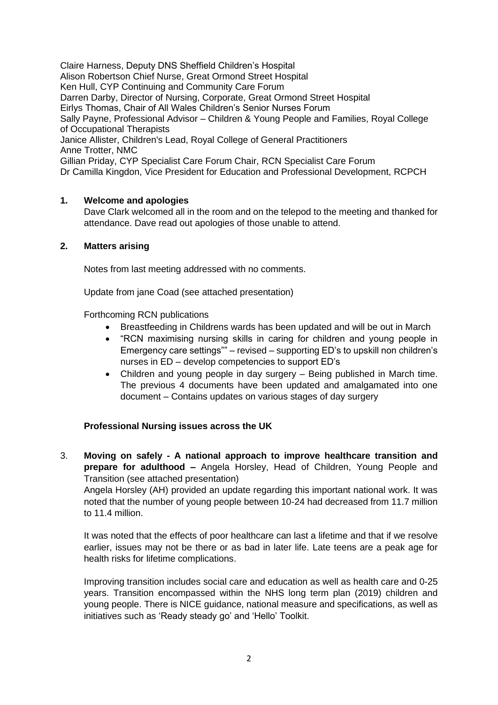Claire Harness, Deputy DNS Sheffield Children's Hospital Alison Robertson Chief Nurse, Great Ormond Street Hospital Ken Hull, CYP Continuing and Community Care Forum Darren Darby, Director of Nursing, Corporate, Great Ormond Street Hospital Eirlys Thomas, Chair of All Wales Children's Senior Nurses Forum Sally Payne, Professional Advisor – Children & Young People and Families, Royal College of Occupational Therapists Janice Allister, Children's Lead, Royal College of General Practitioners Anne Trotter, NMC Gillian Priday, CYP Specialist Care Forum Chair, RCN Specialist Care Forum Dr Camilla Kingdon, Vice President for Education and Professional Development, RCPCH

# **1. Welcome and apologies**

Dave Clark welcomed all in the room and on the telepod to the meeting and thanked for attendance. Dave read out apologies of those unable to attend.

#### **2. Matters arising**

Notes from last meeting addressed with no comments.

Update from jane Coad (see attached presentation)

Forthcoming RCN publications

- Breastfeeding in Childrens wards has been updated and will be out in March
- "RCN maximising nursing skills in caring for children and young people in Emergency care settings"" – revised – supporting ED's to upskill non children's nurses in ED – develop competencies to support ED's
- Children and young people in day surgery Being published in March time. The previous 4 documents have been updated and amalgamated into one document – Contains updates on various stages of day surgery

#### **Professional Nursing issues across the UK**

3. **Moving on safely - A national approach to improve healthcare transition and prepare for adulthood –** Angela Horsley, Head of Children, Young People and Transition (see attached presentation)

Angela Horsley (AH) provided an update regarding this important national work. It was noted that the number of young people between 10-24 had decreased from 11.7 million to 11.4 million.

It was noted that the effects of poor healthcare can last a lifetime and that if we resolve earlier, issues may not be there or as bad in later life. Late teens are a peak age for health risks for lifetime complications.

Improving transition includes social care and education as well as health care and 0-25 years. Transition encompassed within the NHS long term plan (2019) children and young people. There is NICE guidance, national measure and specifications, as well as initiatives such as 'Ready steady go' and 'Hello' Toolkit.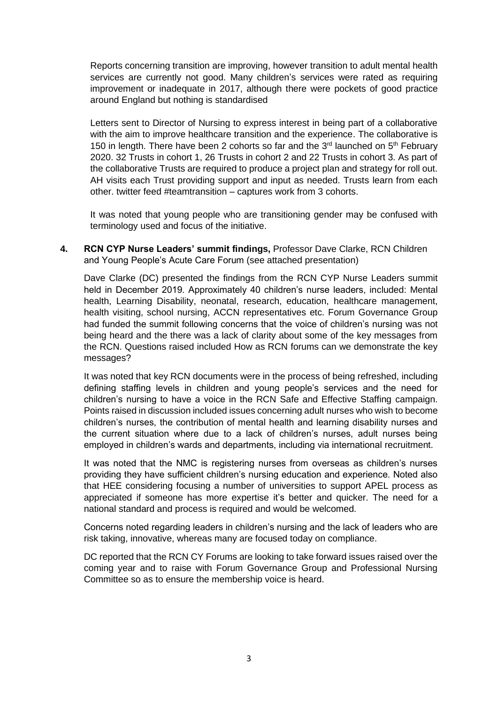Reports concerning transition are improving, however transition to adult mental health services are currently not good. Many children's services were rated as requiring improvement or inadequate in 2017, although there were pockets of good practice around England but nothing is standardised

Letters sent to Director of Nursing to express interest in being part of a collaborative with the aim to improve healthcare transition and the experience. The collaborative is 150 in length. There have been 2 cohorts so far and the  $3<sup>rd</sup>$  launched on  $5<sup>th</sup>$  February 2020. 32 Trusts in cohort 1, 26 Trusts in cohort 2 and 22 Trusts in cohort 3. As part of the collaborative Trusts are required to produce a project plan and strategy for roll out. AH visits each Trust providing support and input as needed. Trusts learn from each other. twitter feed #teamtransition – captures work from 3 cohorts.

It was noted that young people who are transitioning gender may be confused with terminology used and focus of the initiative.

**4. RCN CYP Nurse Leaders' summit findings,** Professor Dave Clarke, RCN Children and Young People's Acute Care Forum (see attached presentation)

Dave Clarke (DC) presented the findings from the RCN CYP Nurse Leaders summit held in December 2019. Approximately 40 children's nurse leaders, included: Mental health, Learning Disability, neonatal, research, education, healthcare management, health visiting, school nursing, ACCN representatives etc. Forum Governance Group had funded the summit following concerns that the voice of children's nursing was not being heard and the there was a lack of clarity about some of the key messages from the RCN. Questions raised included How as RCN forums can we demonstrate the key messages?

It was noted that key RCN documents were in the process of being refreshed, including defining staffing levels in children and young people's services and the need for children's nursing to have a voice in the RCN Safe and Effective Staffing campaign. Points raised in discussion included issues concerning adult nurses who wish to become children's nurses, the contribution of mental health and learning disability nurses and the current situation where due to a lack of children's nurses, adult nurses being employed in children's wards and departments, including via international recruitment.

It was noted that the NMC is registering nurses from overseas as children's nurses providing they have sufficient children's nursing education and experience. Noted also that HEE considering focusing a number of universities to support APEL process as appreciated if someone has more expertise it's better and quicker. The need for a national standard and process is required and would be welcomed.

Concerns noted regarding leaders in children's nursing and the lack of leaders who are risk taking, innovative, whereas many are focused today on compliance.

DC reported that the RCN CY Forums are looking to take forward issues raised over the coming year and to raise with Forum Governance Group and Professional Nursing Committee so as to ensure the membership voice is heard.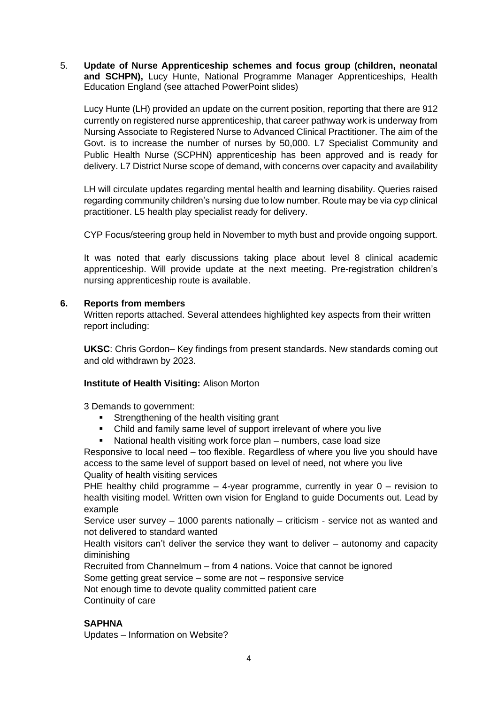5. **Update of Nurse Apprenticeship schemes and focus group (children, neonatal and SCHPN),** Lucy Hunte, National Programme Manager Apprenticeships, Health Education England (see attached PowerPoint slides)

Lucy Hunte (LH) provided an update on the current position, reporting that there are 912 currently on registered nurse apprenticeship, that career pathway work is underway from Nursing Associate to Registered Nurse to Advanced Clinical Practitioner. The aim of the Govt. is to increase the number of nurses by 50,000. L7 Specialist Community and Public Health Nurse (SCPHN) apprenticeship has been approved and is ready for delivery. L7 District Nurse scope of demand, with concerns over capacity and availability

LH will circulate updates regarding mental health and learning disability. Queries raised regarding community children's nursing due to low number. Route may be via cyp clinical practitioner. L5 health play specialist ready for delivery.

CYP Focus/steering group held in November to myth bust and provide ongoing support.

It was noted that early discussions taking place about level 8 clinical academic apprenticeship. Will provide update at the next meeting. Pre-registration children's nursing apprenticeship route is available.

# **6. Reports from members**

Written reports attached. Several attendees highlighted key aspects from their written report including:

**UKSC**: Chris Gordon– Key findings from present standards. New standards coming out and old withdrawn by 2023.

#### **Institute of Health Visiting:** Alison Morton

3 Demands to government:

- **EXECTE:** Strengthening of the health visiting grant
- Child and family same level of support irrelevant of where you live
- National health visiting work force plan numbers, case load size

Responsive to local need – too flexible. Regardless of where you live you should have access to the same level of support based on level of need, not where you live Quality of health visiting services

PHE healthy child programme  $-4$ -year programme, currently in year  $0$  – revision to health visiting model. Written own vision for England to guide Documents out. Lead by example

Service user survey – 1000 parents nationally – criticism - service not as wanted and not delivered to standard wanted

Health visitors can't deliver the service they want to deliver – autonomy and capacity diminishing

Recruited from Channelmum – from 4 nations. Voice that cannot be ignored

Some getting great service – some are not – responsive service

Not enough time to devote quality committed patient care Continuity of care

# **SAPHNA**

Updates – Information on Website?